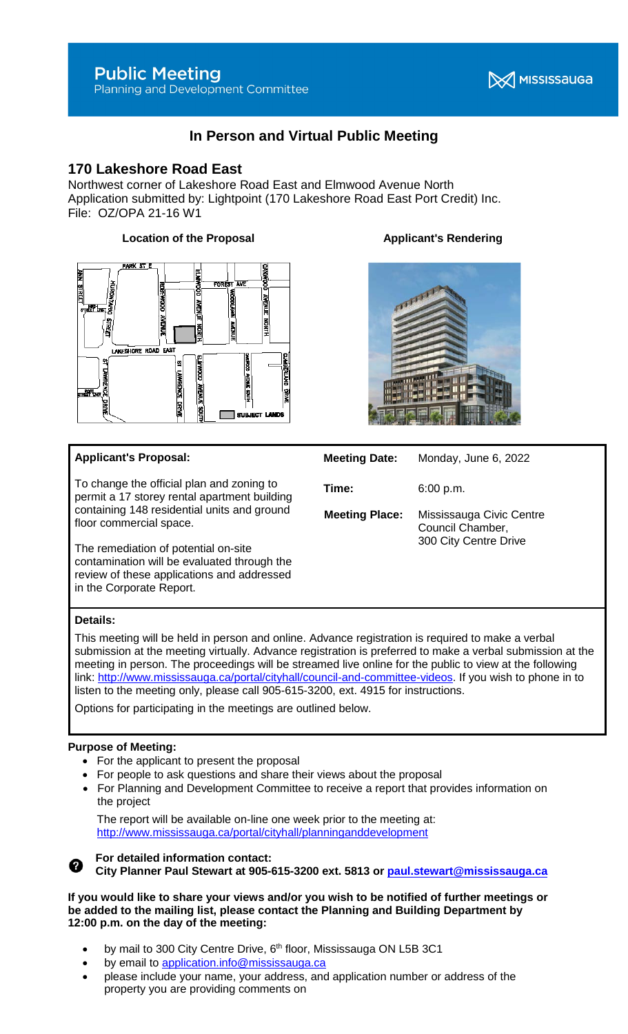# **Public Meeting**

Planning and Development Committee

## **X** MISSISSAUGA

## **In Person and Virtual Public Meeting**

### **170 Lakeshore Road East**

Northwest corner of Lakeshore Road East and Elmwood Avenue North Application submitted by: Lightpoint (170 Lakeshore Road East Port Credit) Inc. File: OZ/OPA 21-16 W1

#### **Location of the Proposal Contract Applicant's Rendering**



#### **Applicant's Proposal:**

To change the official plan and zoning to permit a 17 storey rental apartment building containing 148 residential units and ground floor commercial space.

The remediation of potential on-site contamination will be evaluated through the review of these applications and addressed in the Corporate Report.



#### **Meeting Date:** Monday, June 6, 2022

**Time:** 6:00 p.m.

**Meeting Place:** Mississauga Civic Centre Council Chamber, 300 City Centre Drive

#### **Details:**

This meeting will be held in person and online. Advance registration is required to make a verbal submission at the meeting virtually. Advance registration is preferred to make a verbal submission at the meeting in person. The proceedings will be streamed live online for the public to view at the following link: [http://www.mississauga.ca/portal/cityhall/council-and-committee-videos.](http://www.mississauga.ca/portal/cityhall/council-and-committee-videos) If you wish to phone in to listen to the meeting only, please call 905-615-3200, ext. 4915 for instructions.

Options for participating in the meetings are outlined below.

#### **Purpose of Meeting:**

- For the applicant to present the proposal
- For people to ask questions and share their views about the proposal
- For Planning and Development Committee to receive a report that provides information on the project

The report will be available on-line one week prior to the meeting at: <http://www.mississauga.ca/portal/cityhall/planninganddevelopment>



#### **For detailed information contact: City Planner Paul Stewart at 905-615-3200 ext. 5813 or [paul.stewart@mississauga.ca](mailto:paul.stewart@mississauga.ca)**

**If you would like to share your views and/or you wish to be notified of further meetings or be added to the mailing list, please contact the Planning and Building Department by 12:00 p.m. on the day of the meeting:**

- by mail to 300 City Centre Drive, 6<sup>th</sup> floor, Mississauga ON L5B 3C1
- by email to [application.info@mississauga.ca](http://teamsites.mississauga.ca/sites/18/Glossaries%20and%20Templates/application.info@mississauga.ca)
- please include your name, your address, and application number or address of the property you are providing comments on